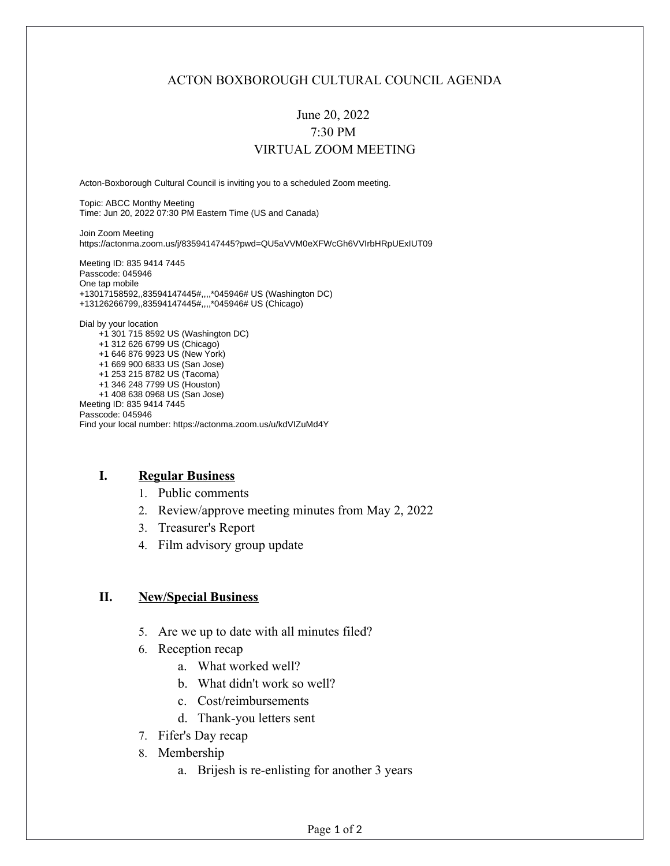### ACTON BOXBOROUGH CULTURAL COUNCIL AGENDA

# June 20, 2022 7:30 PM VIRTUAL ZOOM MEETING

Acton-Boxborough Cultural Council is inviting you to a scheduled Zoom meeting.

Topic: ABCC Monthy Meeting Time: Jun 20, 2022 07:30 PM Eastern Time (US and Canada)

Join Zoom Meeting https://actonma.zoom.us/j/83594147445?pwd=QU5aVVM0eXFWcGh6VVIrbHRpUExIUT09

Meeting ID: 835 9414 7445 Passcode: 045946 One tap mobile +13017158592,,83594147445#,,,,\*045946# US (Washington DC) +13126266799,,83594147445#,,,,\*045946# US (Chicago)

Dial by your location +1 301 715 8592 US (Washington DC) +1 312 626 6799 US (Chicago) +1 646 876 9923 US (New York) +1 669 900 6833 US (San Jose) +1 253 215 8782 US (Tacoma) +1 346 248 7799 US (Houston) +1 408 638 0968 US (San Jose) Meeting ID: 835 9414 7445 Passcode: 045946 Find your local number: https://actonma.zoom.us/u/kdVIZuMd4Y

#### **I. Regular Business**

- 1. Public comments
- 2. Review/approve meeting minutes from May 2, 2022
- 3. Treasurer's Report
- 4. Film advisory group update

#### **II. New/Special Business**

- 5. Are we up to date with all minutes filed?
- 6. Reception recap
	- a. What worked well?
	- b. What didn't work so well?
	- c. Cost/reimbursements
	- d. Thank-you letters sent
- 7. Fifer's Day recap
- 8. Membership
	- a. Brijesh is re-enlisting for another 3 years